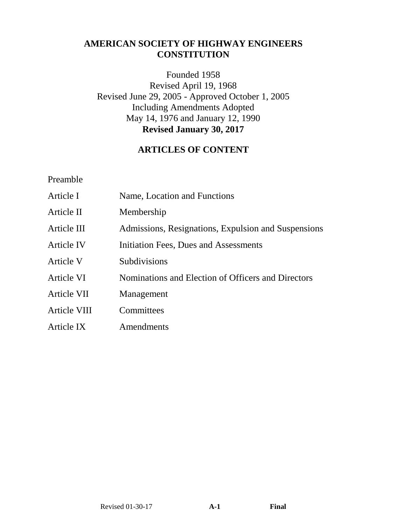# **AMERICAN SOCIETY OF HIGHWAY ENGINEERS CONSTITUTION**

Founded 1958 Revised April 19, 1968 Revised June 29, 2005 - Approved October 1, 2005 Including Amendments Adopted May 14, 1976 and January 12, 1990 **Revised January 30, 2017**

## **ARTICLES OF CONTENT**

Preamble

| Article I    | Name, Location and Functions                        |
|--------------|-----------------------------------------------------|
| Article II   | Membership                                          |
| Article III  | Admissions, Resignations, Expulsion and Suspensions |
| Article IV   | Initiation Fees, Dues and Assessments               |
| Article V    | Subdivisions                                        |
| Article VI   | Nominations and Election of Officers and Directors  |
| Article VII  | Management                                          |
| Article VIII | Committees                                          |
| Article IX   | Amendments                                          |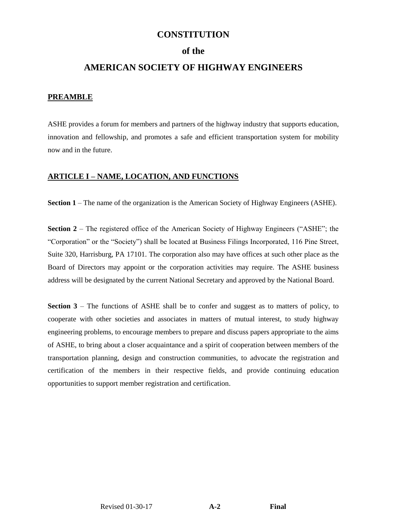## **CONSTITUTION**

### **of the**

## **AMERICAN SOCIETY OF HIGHWAY ENGINEERS**

#### **PREAMBLE**

ASHE provides a forum for members and partners of the highway industry that supports education, innovation and fellowship, and promotes a safe and efficient transportation system for mobility now and in the future.

#### **ARTICLE I – NAME, LOCATION, AND FUNCTIONS**

**Section 1** – The name of the organization is the American Society of Highway Engineers (ASHE).

**Section 2** – The registered office of the American Society of Highway Engineers ("ASHE"; the "Corporation" or the "Society") shall be located at Business Filings Incorporated, 116 Pine Street, Suite 320, Harrisburg, PA 17101. The corporation also may have offices at such other place as the Board of Directors may appoint or the corporation activities may require. The ASHE business address will be designated by the current National Secretary and approved by the National Board.

**Section 3** – The functions of ASHE shall be to confer and suggest as to matters of policy, to cooperate with other societies and associates in matters of mutual interest, to study highway engineering problems, to encourage members to prepare and discuss papers appropriate to the aims of ASHE, to bring about a closer acquaintance and a spirit of cooperation between members of the transportation planning, design and construction communities, to advocate the registration and certification of the members in their respective fields, and provide continuing education opportunities to support member registration and certification.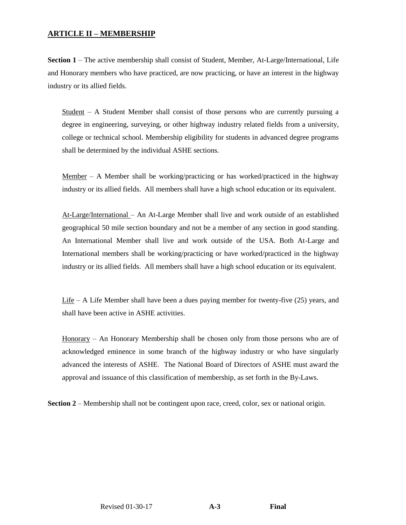#### **ARTICLE II – MEMBERSHIP**

**Section 1** – The active membership shall consist of Student, Member, At-Large/International, Life and Honorary members who have practiced, are now practicing, or have an interest in the highway industry or its allied fields.

 $Student - A$  Student Member shall consist of those persons who are currently pursuing a degree in engineering, surveying, or other highway industry related fields from a university, college or technical school. Membership eligibility for students in advanced degree programs shall be determined by the individual ASHE sections.

<u>Member</u> – A Member shall be working/practicing or has worked/practiced in the highway industry or its allied fields. All members shall have a high school education or its equivalent.

At-Large/International – An At-Large Member shall live and work outside of an established geographical 50 mile section boundary and not be a member of any section in good standing. An International Member shall live and work outside of the USA. Both At-Large and International members shall be working/practicing or have worked/practiced in the highway industry or its allied fields. All members shall have a high school education or its equivalent.

Life – A Life Member shall have been a dues paying member for twenty-five  $(25)$  years, and shall have been active in ASHE activities.

Honorary – An Honorary Membership shall be chosen only from those persons who are of acknowledged eminence in some branch of the highway industry or who have singularly advanced the interests of ASHE. The National Board of Directors of ASHE must award the approval and issuance of this classification of membership, as set forth in the By-Laws.

**Section 2** – Membership shall not be contingent upon race, creed, color, sex or national origin.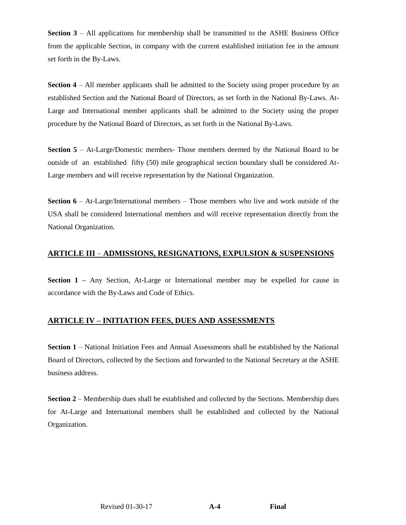**Section 3** – All applications for membership shall be transmitted to the ASHE Business Office from the applicable Section, in company with the current established initiation fee in the amount set forth in the By-Laws.

**Section 4** – All member applicants shall be admitted to the Society using proper procedure by an established Section and the National Board of Directors, as set forth in the National By-Laws. At-Large and International member applicants shall be admitted to the Society using the proper procedure by the National Board of Directors, as set forth in the National By-Laws.

**Section 5** – At-Large/Domestic members- Those members deemed by the National Board to be outside of an established fifty (50) mile geographical section boundary shall be considered At-Large members and will receive representation by the National Organization.

**Section 6** – At-Large/International members – Those members who live and work outside of the USA shall be considered International members and will receive representation directly from the National Organization.

#### **ARTICLE III** – **ADMISSIONS, RESIGNATIONS, EXPULSION & SUSPENSIONS**

**Section 1** – Any Section, At-Large or International member may be expelled for cause in accordance with the By-Laws and Code of Ethics.

## **ARTICLE IV – INITIATION FEES, DUES AND ASSESSMENTS**

**Section 1** – National Initiation Fees and Annual Assessments shall be established by the National Board of Directors, collected by the Sections and forwarded to the National Secretary at the ASHE business address.

**Section 2** – Membership dues shall be established and collected by the Sections. Membership dues for At-Large and International members shall be established and collected by the National Organization.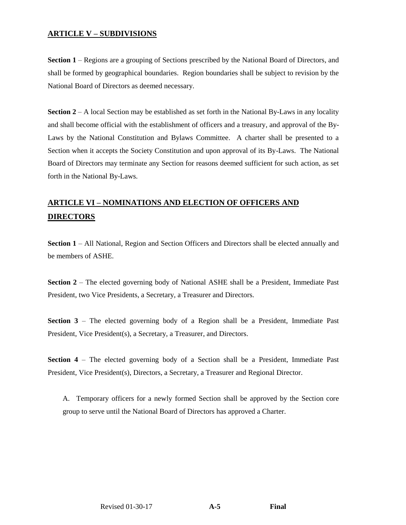#### **ARTICLE V – SUBDIVISIONS**

**Section 1** – Regions are a grouping of Sections prescribed by the National Board of Directors, and shall be formed by geographical boundaries. Region boundaries shall be subject to revision by the National Board of Directors as deemed necessary.

**Section 2** – A local Section may be established as set forth in the National By-Laws in any locality and shall become official with the establishment of officers and a treasury, and approval of the By-Laws by the National Constitution and Bylaws Committee. A charter shall be presented to a Section when it accepts the Society Constitution and upon approval of its By-Laws. The National Board of Directors may terminate any Section for reasons deemed sufficient for such action, as set forth in the National By-Laws.

# **ARTICLE VI – NOMINATIONS AND ELECTION OF OFFICERS AND DIRECTORS**

**Section 1** – All National, Region and Section Officers and Directors shall be elected annually and be members of ASHE.

**Section 2** – The elected governing body of National ASHE shall be a President, Immediate Past President, two Vice Presidents, a Secretary, a Treasurer and Directors.

**Section 3** – The elected governing body of a Region shall be a President, Immediate Past President, Vice President(s), a Secretary, a Treasurer, and Directors.

**Section 4** – The elected governing body of a Section shall be a President, Immediate Past President, Vice President(s), Directors, a Secretary, a Treasurer and Regional Director.

A. Temporary officers for a newly formed Section shall be approved by the Section core group to serve until the National Board of Directors has approved a Charter.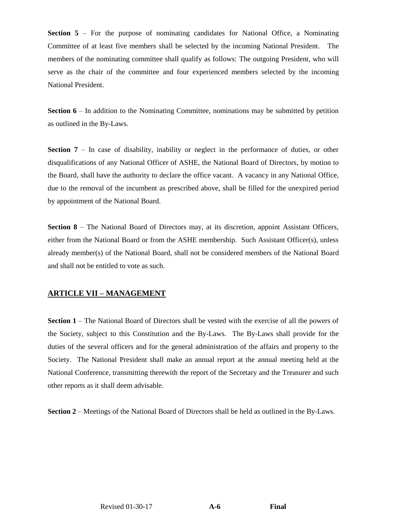**Section 5** – For the purpose of nominating candidates for National Office, a Nominating Committee of at least five members shall be selected by the incoming National President. The members of the nominating committee shall qualify as follows: The outgoing President, who will serve as the chair of the committee and four experienced members selected by the incoming National President.

**Section 6** – In addition to the Nominating Committee, nominations may be submitted by petition as outlined in the By-Laws.

**Section 7** – In case of disability, inability or neglect in the performance of duties, or other disqualifications of any National Officer of ASHE, the National Board of Directors, by motion to the Board, shall have the authority to declare the office vacant. A vacancy in any National Office, due to the removal of the incumbent as prescribed above, shall be filled for the unexpired period by appointment of the National Board.

**Section 8** – The National Board of Directors may, at its discretion, appoint Assistant Officers, either from the National Board or from the ASHE membership. Such Assistant Officer(s), unless already member(s) of the National Board, shall not be considered members of the National Board and shall not be entitled to vote as such.

#### **ARTICLE VII – MANAGEMENT**

**Section 1** – The National Board of Directors shall be vested with the exercise of all the powers of the Society, subject to this Constitution and the By-Laws. The By-Laws shall provide for the duties of the several officers and for the general administration of the affairs and property to the Society. The National President shall make an annual report at the annual meeting held at the National Conference, transmitting therewith the report of the Secretary and the Treasurer and such other reports as it shall deem advisable.

**Section 2** – Meetings of the National Board of Directors shall be held as outlined in the By-Laws.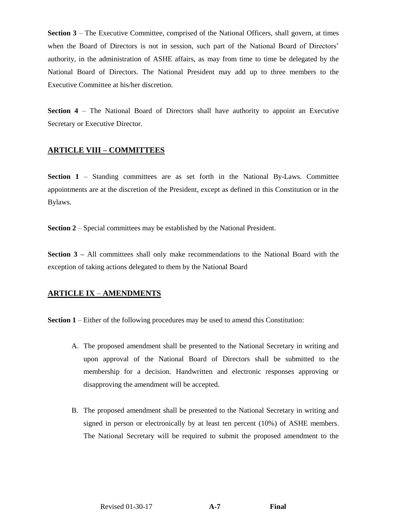**Section 3** – The Executive Committee, comprised of the National Officers, shall govern, at times when the Board of Directors is not in session, such part of the National Board of Directors' authority, in the administration of ASHE affairs, as may from time to time be delegated by the National Board of Directors. The National President may add up to three members to the Executive Committee at his/her discretion.

**Section 4** – The National Board of Directors shall have authority to appoint an Executive Secretary or Executive Director.

## **ARTICLE VIII – COMMITTEES**

**Section 1** – Standing committees are as set forth in the National By-Laws. Committee appointments are at the discretion of the President, except as defined in this Constitution or in the Bylaws.

**Section 2** – Special committees may be established by the National President.

**Section 3** – All committees shall only make recommendations to the National Board with the exception of taking actions delegated to them by the National Board

#### **ARTICLE IX** – **AMENDMENTS**

**Section 1** – Either of the following procedures may be used to amend this Constitution:

- A. The proposed amendment shall be presented to the National Secretary in writing and upon approval of the National Board of Directors shall be submitted to the membership for a decision. Handwritten and electronic responses approving or disapproving the amendment will be accepted.
- B. The proposed amendment shall be presented to the National Secretary in writing and signed in person or electronically by at least ten percent (10%) of ASHE members. The National Secretary will be required to submit the proposed amendment to the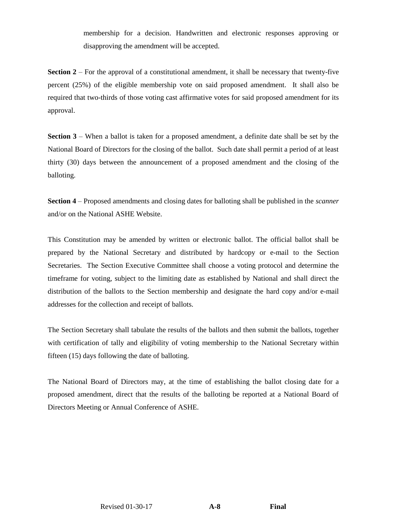membership for a decision. Handwritten and electronic responses approving or disapproving the amendment will be accepted.

**Section 2** – For the approval of a constitutional amendment, it shall be necessary that twenty-five percent (25%) of the eligible membership vote on said proposed amendment. It shall also be required that two-thirds of those voting cast affirmative votes for said proposed amendment for its approval.

**Section 3** – When a ballot is taken for a proposed amendment, a definite date shall be set by the National Board of Directors for the closing of the ballot. Such date shall permit a period of at least thirty (30) days between the announcement of a proposed amendment and the closing of the balloting.

**Section 4** – Proposed amendments and closing dates for balloting shall be published in the *scanner* and/or on the National ASHE Website.

This Constitution may be amended by written or electronic ballot. The official ballot shall be prepared by the National Secretary and distributed by hardcopy or e-mail to the Section Secretaries. The Section Executive Committee shall choose a voting protocol and determine the timeframe for voting, subject to the limiting date as established by National and shall direct the distribution of the ballots to the Section membership and designate the hard copy and/or e-mail addresses for the collection and receipt of ballots.

The Section Secretary shall tabulate the results of the ballots and then submit the ballots, together with certification of tally and eligibility of voting membership to the National Secretary within fifteen (15) days following the date of balloting.

The National Board of Directors may, at the time of establishing the ballot closing date for a proposed amendment, direct that the results of the balloting be reported at a National Board of Directors Meeting or Annual Conference of ASHE.